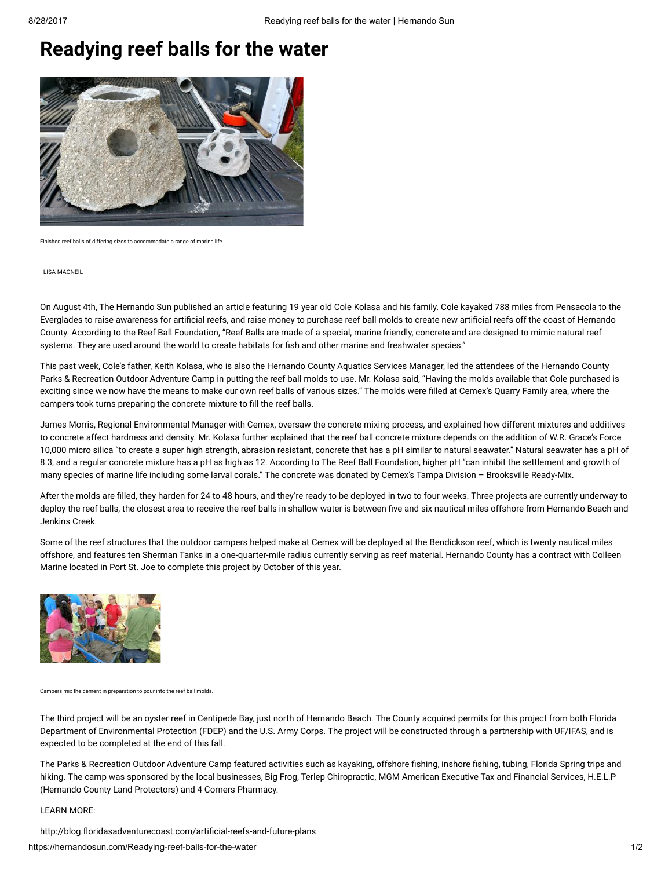# Readying reef balls for the water



Finished reef balls of differing sizes to accommodate a range of marine life

LISA [MACNEIL](https://hernandosun.com/taxonomy/term/706)

On August 4th, The Hernando Sun published an article featuring 19 year old Cole Kolasa and his family. Cole kayaked 788 miles from Pensacola to the Everglades to raise awareness for artificial reefs, and raise money to purchase reef ball molds to create new artificial reefs off the coast of Hernando County. According to the Reef Ball Foundation, "Reef Balls are made of a special, marine friendly, concrete and are designed to mimic natural reef systems. They are used around the world to create habitats for fish and other marine and freshwater species."

This past week, Cole's father, Keith Kolasa, who is also the Hernando County Aquatics Services Manager, led the attendees of the Hernando County Parks & Recreation Outdoor Adventure Camp in putting the reef ball molds to use. Mr. Kolasa said, "Having the molds available that Cole purchased is exciting since we now have the means to make our own reef balls of various sizes." The molds were filled at Cemex's Quarry Family area, where the campers took turns preparing the concrete mixture to fill the reef balls.

James Morris, Regional Environmental Manager with Cemex, oversaw the concrete mixing process, and explained how different mixtures and additives to concrete affect hardness and density. Mr. Kolasa further explained that the reef ball concrete mixture depends on the addition of W.R. Grace's Force 10,000 micro silica "to create a super high strength, abrasion resistant, concrete that has a pH similar to natural seawater." Natural seawater has a pH of 8.3, and a regular concrete mixture has a pH as high as 12. According to The Reef Ball Foundation, higher pH "can inhibit the settlement and growth of many species of marine life including some larval corals." The concrete was donated by Cemex's Tampa Division – Brooksville Ready-Mix.

After the molds are filled, they harden for 24 to 48 hours, and they're ready to be deployed in two to four weeks. Three projects are currently underway to deploy the reef balls, the closest area to receive the reef balls in shallow water is between five and six nautical miles offshore from Hernando Beach and Jenkins Creek.

Some of the reef structures that the outdoor campers helped make at Cemex will be deployed at the Bendickson reef, which is twenty nautical miles offshore, and features ten Sherman Tanks in a one-quarter-mile radius currently serving as reef material. Hernando County has a contract with Colleen Marine located in Port St. Joe to complete this project by October of this year.



Campers mix the cement in preparation to pour into the reef ball molds.

The third project will be an oyster reef in Centipede Bay, just north of Hernando Beach. The County acquired permits for this project from both Florida Department of Environmental Protection (FDEP) and the U.S. Army Corps. The project will be constructed through a partnership with UF/IFAS, and is expected to be completed at the end of this fall.

The Parks & Recreation Outdoor Adventure Camp featured activities such as kayaking, offshore fishing, inshore fishing, tubing, Florida Spring trips and hiking. The camp was sponsored by the local businesses, Big Frog, Terlep Chiropractic, MGM American Executive Tax and Financial Services, H.E.L.P (Hernando County Land Protectors) and 4 Corners Pharmacy.

### LEARN MORE:

https://hernandosun.com/Readying-reef-balls-for-the-water 1/2 http://blog.floridasadventurecoast.com/artificial-reefs-and-future-plans